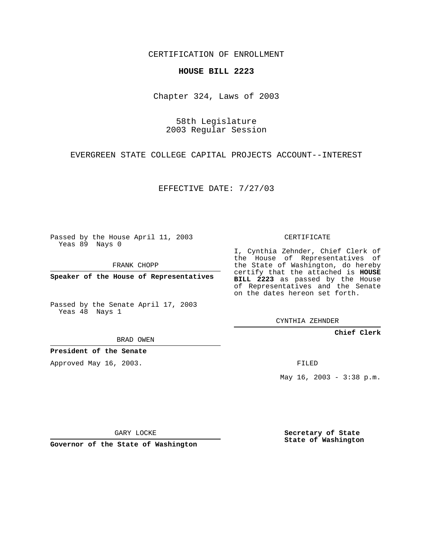CERTIFICATION OF ENROLLMENT

## **HOUSE BILL 2223**

Chapter 324, Laws of 2003

58th Legislature 2003 Regular Session

EVERGREEN STATE COLLEGE CAPITAL PROJECTS ACCOUNT--INTEREST

EFFECTIVE DATE: 7/27/03

Passed by the House April 11, 2003 Yeas 89 Nays 0

FRANK CHOPP

**Speaker of the House of Representatives**

Passed by the Senate April 17, 2003 Yeas 48 Nays 1

BRAD OWEN

**President of the Senate**

Approved May 16, 2003.

CERTIFICATE

I, Cynthia Zehnder, Chief Clerk of the House of Representatives of the State of Washington, do hereby certify that the attached is **HOUSE BILL 2223** as passed by the House of Representatives and the Senate on the dates hereon set forth.

CYNTHIA ZEHNDER

**Chief Clerk**

FILED

May 16, 2003 - 3:38 p.m.

GARY LOCKE

**Governor of the State of Washington**

**Secretary of State State of Washington**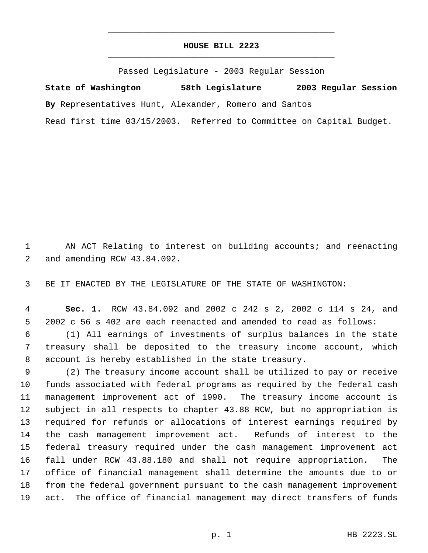## **HOUSE BILL 2223** \_\_\_\_\_\_\_\_\_\_\_\_\_\_\_\_\_\_\_\_\_\_\_\_\_\_\_\_\_\_\_\_\_\_\_\_\_\_\_\_\_\_\_\_\_

\_\_\_\_\_\_\_\_\_\_\_\_\_\_\_\_\_\_\_\_\_\_\_\_\_\_\_\_\_\_\_\_\_\_\_\_\_\_\_\_\_\_\_\_\_

Passed Legislature - 2003 Regular Session

**State of Washington 58th Legislature 2003 Regular Session By** Representatives Hunt, Alexander, Romero and Santos Read first time 03/15/2003. Referred to Committee on Capital Budget.

 AN ACT Relating to interest on building accounts; and reenacting and amending RCW 43.84.092.

BE IT ENACTED BY THE LEGISLATURE OF THE STATE OF WASHINGTON:

 **Sec. 1.** RCW 43.84.092 and 2002 c 242 s 2, 2002 c 114 s 24, and 2002 c 56 s 402 are each reenacted and amended to read as follows:

 (1) All earnings of investments of surplus balances in the state treasury shall be deposited to the treasury income account, which account is hereby established in the state treasury.

 (2) The treasury income account shall be utilized to pay or receive funds associated with federal programs as required by the federal cash management improvement act of 1990. The treasury income account is subject in all respects to chapter 43.88 RCW, but no appropriation is required for refunds or allocations of interest earnings required by the cash management improvement act. Refunds of interest to the federal treasury required under the cash management improvement act fall under RCW 43.88.180 and shall not require appropriation. The office of financial management shall determine the amounts due to or from the federal government pursuant to the cash management improvement act. The office of financial management may direct transfers of funds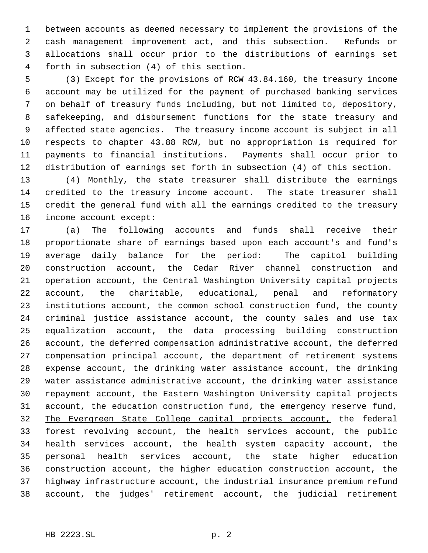between accounts as deemed necessary to implement the provisions of the cash management improvement act, and this subsection. Refunds or allocations shall occur prior to the distributions of earnings set forth in subsection (4) of this section.

 (3) Except for the provisions of RCW 43.84.160, the treasury income account may be utilized for the payment of purchased banking services on behalf of treasury funds including, but not limited to, depository, safekeeping, and disbursement functions for the state treasury and affected state agencies. The treasury income account is subject in all respects to chapter 43.88 RCW, but no appropriation is required for payments to financial institutions. Payments shall occur prior to distribution of earnings set forth in subsection (4) of this section.

 (4) Monthly, the state treasurer shall distribute the earnings credited to the treasury income account. The state treasurer shall credit the general fund with all the earnings credited to the treasury income account except:

 (a) The following accounts and funds shall receive their proportionate share of earnings based upon each account's and fund's average daily balance for the period: The capitol building construction account, the Cedar River channel construction and operation account, the Central Washington University capital projects account, the charitable, educational, penal and reformatory institutions account, the common school construction fund, the county criminal justice assistance account, the county sales and use tax equalization account, the data processing building construction account, the deferred compensation administrative account, the deferred compensation principal account, the department of retirement systems expense account, the drinking water assistance account, the drinking water assistance administrative account, the drinking water assistance repayment account, the Eastern Washington University capital projects account, the education construction fund, the emergency reserve fund, The Evergreen State College capital projects account, the federal forest revolving account, the health services account, the public health services account, the health system capacity account, the personal health services account, the state higher education construction account, the higher education construction account, the highway infrastructure account, the industrial insurance premium refund account, the judges' retirement account, the judicial retirement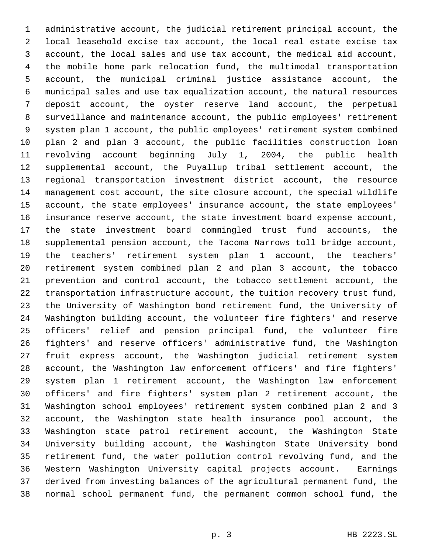administrative account, the judicial retirement principal account, the local leasehold excise tax account, the local real estate excise tax account, the local sales and use tax account, the medical aid account, the mobile home park relocation fund, the multimodal transportation account, the municipal criminal justice assistance account, the municipal sales and use tax equalization account, the natural resources deposit account, the oyster reserve land account, the perpetual surveillance and maintenance account, the public employees' retirement system plan 1 account, the public employees' retirement system combined plan 2 and plan 3 account, the public facilities construction loan revolving account beginning July 1, 2004, the public health supplemental account, the Puyallup tribal settlement account, the regional transportation investment district account, the resource management cost account, the site closure account, the special wildlife account, the state employees' insurance account, the state employees' insurance reserve account, the state investment board expense account, the state investment board commingled trust fund accounts, the supplemental pension account, the Tacoma Narrows toll bridge account, the teachers' retirement system plan 1 account, the teachers' retirement system combined plan 2 and plan 3 account, the tobacco prevention and control account, the tobacco settlement account, the transportation infrastructure account, the tuition recovery trust fund, the University of Washington bond retirement fund, the University of Washington building account, the volunteer fire fighters' and reserve officers' relief and pension principal fund, the volunteer fire fighters' and reserve officers' administrative fund, the Washington fruit express account, the Washington judicial retirement system account, the Washington law enforcement officers' and fire fighters' system plan 1 retirement account, the Washington law enforcement officers' and fire fighters' system plan 2 retirement account, the Washington school employees' retirement system combined plan 2 and 3 account, the Washington state health insurance pool account, the Washington state patrol retirement account, the Washington State University building account, the Washington State University bond retirement fund, the water pollution control revolving fund, and the Western Washington University capital projects account. Earnings derived from investing balances of the agricultural permanent fund, the normal school permanent fund, the permanent common school fund, the